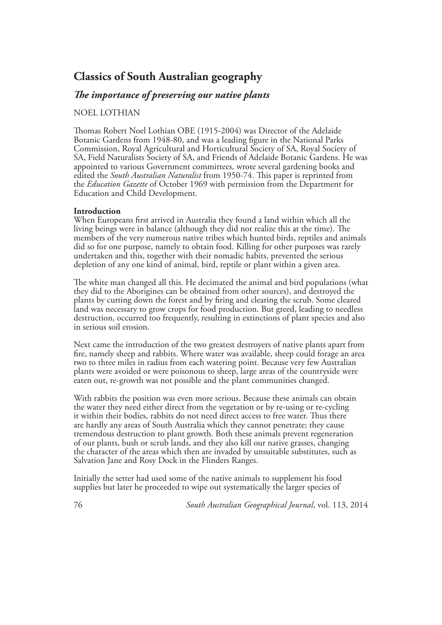# **Classics of South Australian geography**

## *The importance of preserving our native plants*

### NOEL LOTHIAN

Thomas Robert Noel Lothian OBE (1915-2004) was Director of the Adelaide Botanic Gardens from 1948-80, and was a leading figure in the National Parks Commission, Royal Agricultural and Horticultural Society of SA, Royal Society of SA, Field Naturalists Society of SA, and Friends of Adelaide Botanic Gardens. He was appointed to various Government committees, wrote several gardening books and edited the *South Australian Naturalist* from 1950-74. This paper is reprinted from the *Education Gazette* of October 1969 with permission from the Department for Education and Child Development.

#### **Introduction**

When Europeans first arrived in Australia they found a land within which all the living beings were in balance (although they did not realize this at the time). The members of the very numerous native tribes which hunted birds, reptiles and animals did so for one purpose, namely to obtain food. Killing for other purposes was rarely undertaken and this, together with their nomadic habits, prevented the serious depletion of any one kind of animal, bird, reptile or plant within a given area.

The white man changed all this. He decimated the animal and bird populations (what they did to the Aborigines can be obtained from other sources), and destroyed the plants by cutting down the forest and by firing and clearing the scrub. Some cleared land was necessary to grow crops for food production. But greed, leading to needless destruction, occurred too frequently, resulting in extinctions of plant species and also in serious soil erosion.

Next came the introduction of the two greatest destroyers of native plants apart from fire, namely sheep and rabbits. Where water was available, sheep could forage an area two to three miles in radius from each watering point. Because very few Australian plants were avoided or were poisonous to sheep, large areas of the countryside were eaten out, re-growth was not possible and the plant communities changed.

With rabbits the position was even more serious. Because these animals can obtain the water they need either direct from the vegetation or by re-using or re-cycling it within their bodies, rabbits do not need direct access to free water. Thus there are hardly any areas of South Australia which they cannot penetrate; they cause tremendous destruction to plant growth. Both these animals prevent regeneration of our plants, bush or scrub lands, and they also kill our native grasses, changing the character of the areas which then are invaded by unsuitable substitutes, such as Salvation Jane and Rosy Dock in the Flinders Ranges.

Initially the setter had used some of the native animals to supplement his food supplies but later he proceeded to wipe out systematically the larger species of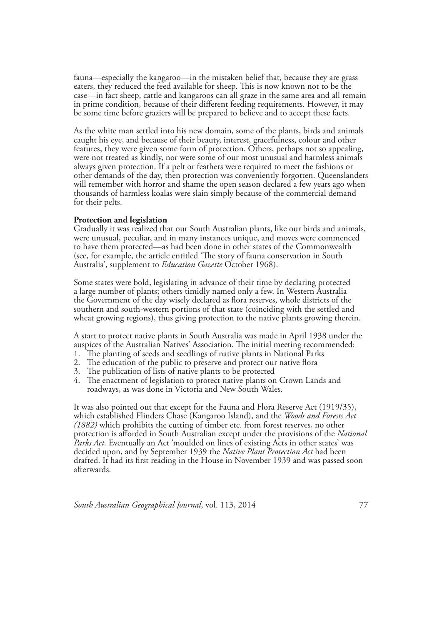fauna—especially the kangaroo—in the mistaken belief that, because they are grass eaters, they reduced the feed available for sheep. This is now known not to be the case—in fact sheep, cattle and kangaroos can all graze in the same area and all remain in prime condition, because of their different feeding requirements. However, it may be some time before graziers will be prepared to believe and to accept these facts.

As the white man settled into his new domain, some of the plants, birds and animals caught his eye, and because of their beauty, interest, gracefulness, colour and other features, they were given some form of protection. Others, perhaps not so appealing, were not treated as kindly, nor were some of our most unusual and harmless animals always given protection. If a pelt or feathers were required to meet the fashions or other demands of the day, then protection was conveniently forgotten. Queenslanders will remember with horror and shame the open season declared a few years ago when thousands of harmless koalas were slain simply because of the commercial demand for their pelts.

#### **Protection and legislation**

Gradually it was realized that our South Australian plants, like our birds and animals, were unusual, peculiar, and in many instances unique, and moves were commenced to have them protected—as had been done in other states of the Commonwealth (see, for example, the article entitled 'The story of fauna conservation in South Australia', supplement to *Education Gazette* October 1968).

Some states were bold, legislating in advance of their time by declaring protected a large number of plants; others timidly named only a few. In Western Australia the Government of the day wisely declared as flora reserves, whole districts of the southern and south-western portions of that state (coinciding with the settled and wheat growing regions), thus giving protection to the native plants growing therein.

A start to protect native plants in South Australia was made in April 1938 under the auspices of the Australian Natives' Association. The initial meeting recommended:

- 1. The planting of seeds and seedlings of native plants in National Parks
- 2. The education of the public to preserve and protect our native flora
- 3. The publication of lists of native plants to be protected
- 4. The enactment of legislation to protect native plants on Crown Lands and roadways, as was done in Victoria and New South Wales.

It was also pointed out that except for the Fauna and Flora Reserve Act (1919/35), which established Flinders Chase (Kangaroo Island), and the *Woods and Forests Act (1882)* which prohibits the cutting of timber etc. from forest reserves, no other protection is afforded in South Australian except under the provisions of the *National Parks Act.* Eventually an Act 'moulded on lines of existing Acts in other states' was decided upon, and by September 1939 the *Native Plant Protection Act* had been drafted. It had its first reading in the House in November 1939 and was passed soon afterwards.

*South Australian Geographical Journal*, vol. 113, 2014 77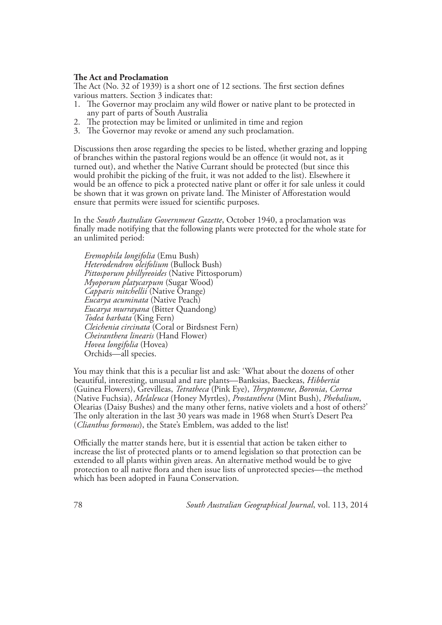#### **The Act and Proclamation**

The Act (No. 32 of 1939) is a short one of 12 sections. The first section defines various matters. Section 3 indicates that:

- 1. The Governor may proclaim any wild flower or native plant to be protected in any part of parts of South Australia
- 2. The protection may be limited or unlimited in time and region
- 3. The Governor may revoke or amend any such proclamation.

Discussions then arose regarding the species to be listed, whether grazing and lopping of branches within the pastoral regions would be an offence (it would not, as it turned out), and whether the Native Currant should be protected (but since this would prohibit the picking of the fruit, it was not added to the list). Elsewhere it would be an offence to pick a protected native plant or offer it for sale unless it could be shown that it was grown on private land. The Minister of Afforestation would ensure that permits were issued for scientific purposes.

In the *South Australian Government Gazette*, October 1940, a proclamation was finally made notifying that the following plants were protected for the whole state for an unlimited period:

*Eremophila longifolia* (Emu Bush) *Heterodendron oleifolium* (Bullock Bush) *Pittosporum phillyreoides* (Native Pittosporum) *Myoporum platycarpum* (Sugar Wood) *Capparis mitchellii* (Native Orange) *Eucarya acuminata* (Native Peach) *Eucarya murrayana* (Bitter Quandong) *Todea barbata* (King Fern) *Cleichenia circinata* (Coral or Birdsnest Fern) *Cheiranthera linearis* (Hand Flower) *Hovea longifolia* (Hovea) Orchids—all species.

You may think that this is a peculiar list and ask: 'What about the dozens of other beautiful, interesting, unusual and rare plants—Banksias, Baeckeas, *Hibbertia* (Guinea Flowers), Grevilleas, *Tetratheca* (Pink Eye), *Thryptomene*, *Boronia*, *Correa* (Dearias (Daisy Bushes) and the many other ferns, native violets and a host of others?' The only alteration in the last 30 years was made in 1968 when Sturt's Desert Pea (*Clianthus formosus*), the State's Emblem, was added to the list!

Officially the matter stands here, but it is essential that action be taken either to increase the list of protected plants or to amend legislation so that protection can be extended to all plants within given areas. An alternative method would be to give protection to all native flora and then issue lists of unprotected species—the method which has been adopted in Fauna Conservation.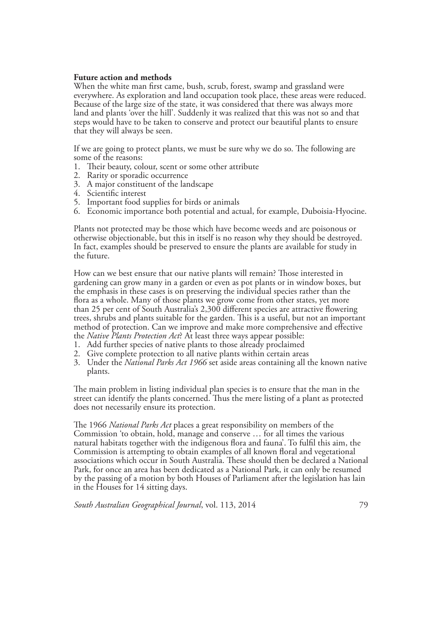#### **Future action and methods**

When the white man first came, bush, scrub, forest, swamp and grassland were everywhere. As exploration and land occupation took place, these areas were reduced. Because of the large size of the state, it was considered that there was always more land and plants 'over the hill'. Suddenly it was realized that this was not so and that steps would have to be taken to conserve and protect our beautiful plants to ensure that they will always be seen.

If we are going to protect plants, we must be sure why we do so. The following are some of the reasons:

- 1. Their beauty, colour, scent or some other attribute
- 2. Rarity or sporadic occurrence
- 3. A major constituent of the landscape
- 4. Scientific interest
- 5. Important food supplies for birds or animals
- 6. Economic importance both potential and actual, for example, Duboisia-Hyocine.

Plants not protected may be those which have become weeds and are poisonous or otherwise objectionable, but this in itself is no reason why they should be destroyed. In fact, examples should be preserved to ensure the plants are available for study in the future.

How can we best ensure that our native plants will remain? Those interested in gardening can grow many in a garden or even as pot plants or in window boxes, but the emphasis in these cases is on preserving the individual species rather than the flora as a whole. Many of those plants we grow come from other states, yet more than 25 per cent of South Australia's 2,300 different species are attractive flowering trees, shrubs and plants suitable for the garden. This is a useful, but not an important method of protection. Can we improve and make more comprehensive and effective the *Native Plants Protection Act*? At least three ways appear possible:

- 1. Add further species of native plants to those already proclaimed
- 2. Give complete protection to all native plants within certain areas
- 3. Under the *National Parks Act 1966* set aside areas containing all the known native plants.

The main problem in listing individual plan species is to ensure that the man in the street can identify the plants concerned. Thus the mere listing of a plant as protected does not necessarily ensure its protection.

The 1966 *National Parks Act* places a great responsibility on members of the Commission 'to obtain, hold, manage and conserve … for all times the various natural habitats together with the indigenous flora and fauna'. To fulfil this aim, the Commission is attempting to obtain examples of all known floral and vegetational associations which occur in South Australia. These should then be declared a National Park, for once an area has been dedicated as a National Park, it can only be resumed by the passing of a motion by both Houses of Parliament after the legislation has lain in the Houses for 14 sitting days.

*South Australian Geographical Journal*, vol. 113, 2014 79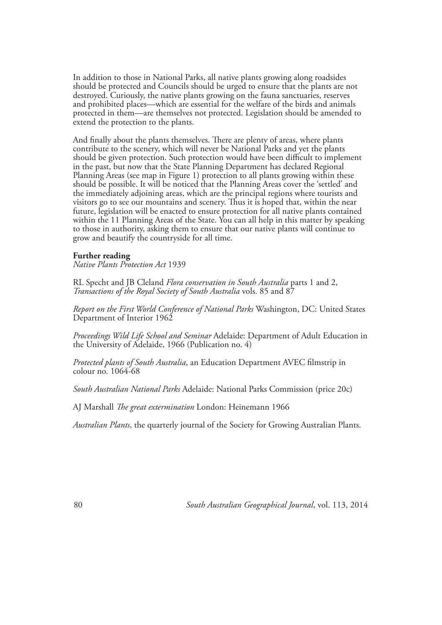In addition to those in National Parks, all native plants growing along roadsides should be protected and Councils should be urged to ensure that the plants are not destroyed. Curiously, the native plants growing on the fauna sanctuaries, reserves and prohibited places—which are essential for the welfare of the birds and animals protected in them—are themselves not protected. Legislation should be amended to extend the protection to the plants.

And finally about the plants themselves. There are plenty of areas, where plants contribute to the scenery, which will never be National Parks and yet the plants should be given protection. Such protection would have been difficult to implement in the past, but now that the State Planning Department has declared Regional Planning Areas (see map in Figure 1) protection to all plants growing within these should be possible. It will be noticed that the Planning Areas cover the 'settled' and the immediately adjoining areas, which are the principal regions where tourists and visitors go to see our mountains and scenery. Thus it is hoped that, within the near future, legislation will be enacted to ensure protection for all native plants contained within the 11 Planning Areas of the State. You can all help in this matter by speaking to those in authority, asking them to ensure that our native plants will continue to grow and beautify the countryside for all time.

#### **Further reading**

*Native Plants Protection Act* 1939

RL Specht and JB Cleland *Flora conservation in South Australia* parts 1 and 2, *Transactions of the Royal Society of South Australia* vols. 85 and 87

*Report on the First World Conference of National Parks* Washington, DC: United States Department of Interior 1962

*Proceedings Wild Life School and Seminar* Adelaide: Department of Adult Education in the University of Adelaide, 1966 (Publication no. 4)

*Protected plants of South Australia*, an Education Department AVEC filmstrip in colour no. 1064-68

*South Australian National Parks* Adelaide: National Parks Commission (price 20c)

AJ Marshall *The great extermination* London: Heinemann 1966

*Australian Plants*, the quarterly journal of the Society for Growing Australian Plants.